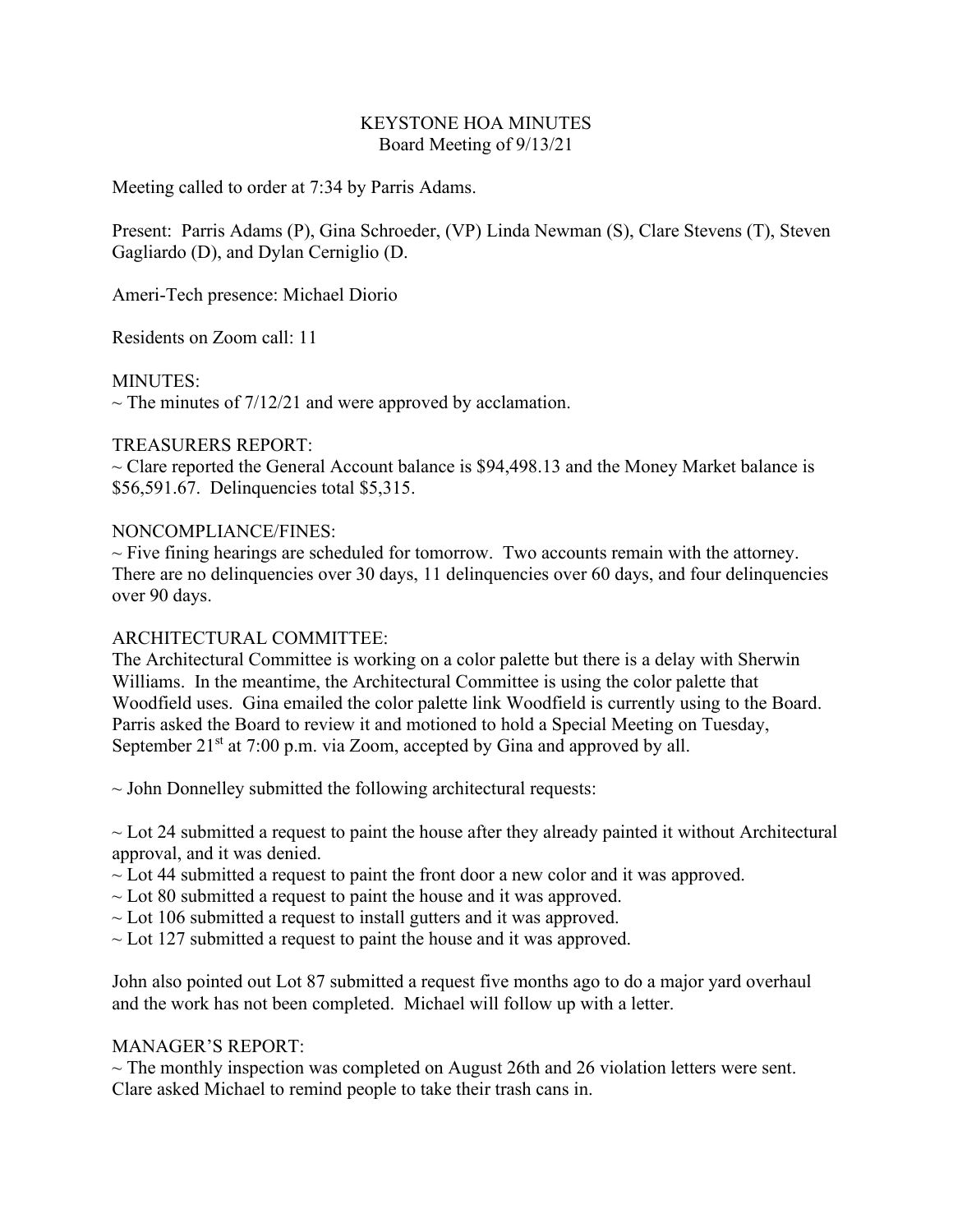# KEYSTONE HOA MINUTES Board Meeting of 9/13/21

Meeting called to order at 7:34 by Parris Adams.

Present: Parris Adams (P), Gina Schroeder, (VP) Linda Newman (S), Clare Stevens (T), Steven Gagliardo (D), and Dylan Cerniglio (D.

Ameri-Tech presence: Michael Diorio

Residents on Zoom call: 11

MINUTES:

 $\sim$  The minutes of 7/12/21 and were approved by acclamation.

## TREASURERS REPORT:

 $\sim$  Clare reported the General Account balance is \$94,498.13 and the Money Market balance is \$56,591.67. Delinquencies total \$5,315.

## NONCOMPLIANCE/FINES:

 $\sim$  Five fining hearings are scheduled for tomorrow. Two accounts remain with the attorney. There are no delinquencies over 30 days, 11 delinquencies over 60 days, and four delinquencies over 90 days.

## ARCHITECTURAL COMMITTEE:

The Architectural Committee is working on a color palette but there is a delay with Sherwin Williams. In the meantime, the Architectural Committee is using the color palette that Woodfield uses. Gina emailed the color palette link Woodfield is currently using to the Board. Parris asked the Board to review it and motioned to hold a Special Meeting on Tuesday, September  $21<sup>st</sup>$  at 7:00 p.m. via Zoom, accepted by Gina and approved by all.

 $\sim$  John Donnelley submitted the following architectural requests:

 $\sim$  Lot 24 submitted a request to paint the house after they already painted it without Architectural approval, and it was denied.

 $\sim$  Lot 44 submitted a request to paint the front door a new color and it was approved.

- $\sim$  Lot 80 submitted a request to paint the house and it was approved.
- $\sim$  Lot 106 submitted a request to install gutters and it was approved.
- $\sim$  Lot 127 submitted a request to paint the house and it was approved.

John also pointed out Lot 87 submitted a request five months ago to do a major yard overhaul and the work has not been completed. Michael will follow up with a letter.

## MANAGER'S REPORT:

 $\sim$  The monthly inspection was completed on August 26th and 26 violation letters were sent. Clare asked Michael to remind people to take their trash cans in.